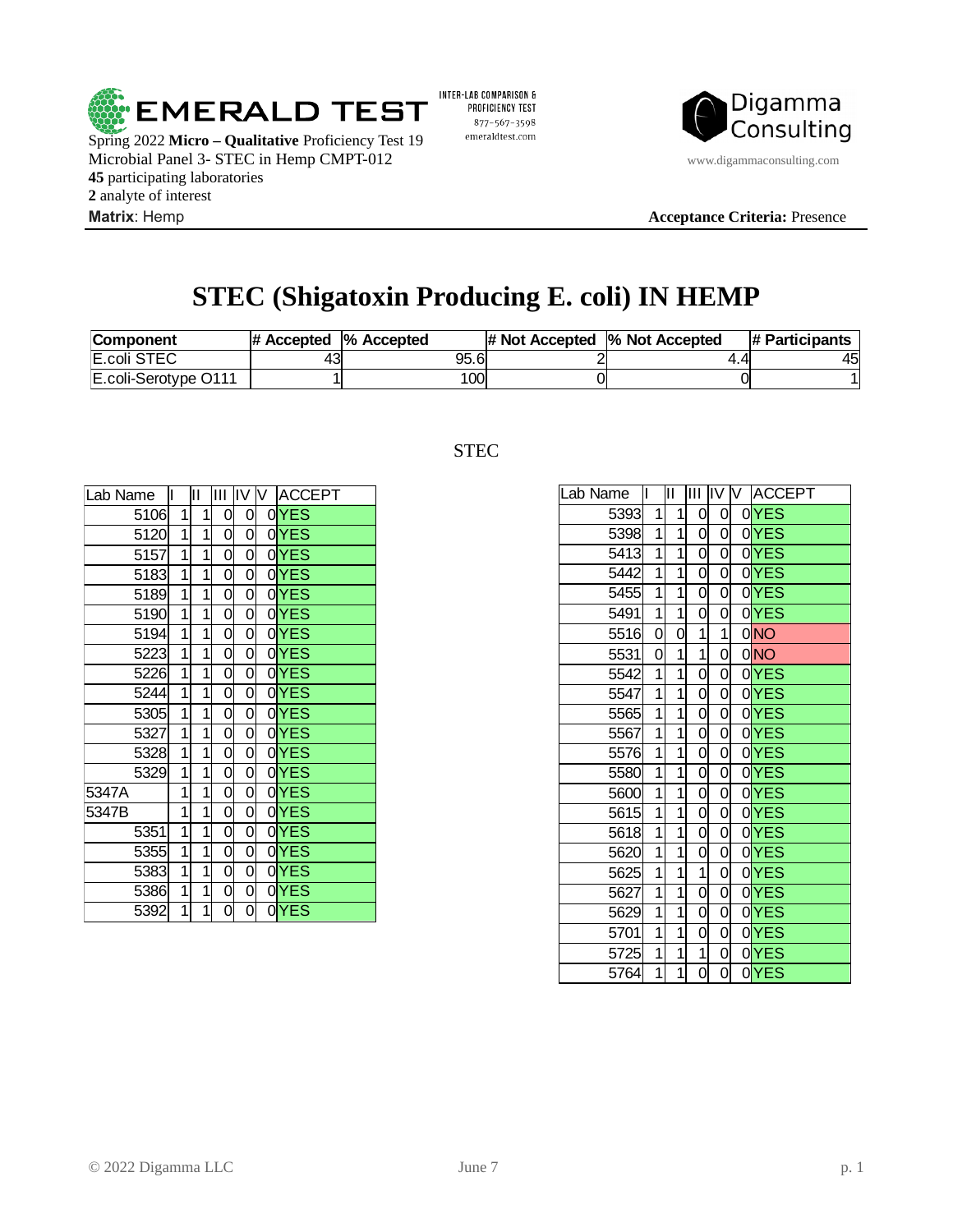

Spring 2022 **Micro – Qualitative** Proficiency Test 19 Microbial Panel 3- STEC in Hemp CMPT-012 www.digammaconsulting.com participating laboratories analyte of interest **Matrix**: Hemp **Acceptance Criteria:** Presence

INTER-LAB COMPARISON & PROFICIENCY TEST 877-567-3598 emeraldtest.com



# **STEC (Shigatoxin Producing E. coli) IN HEMP**

| <b>Component</b>        | $\#$ Accepted $\%$ Accepted |      | $\#$ Not Accepted $\%$ Not Accepted |     | # Participants |
|-------------------------|-----------------------------|------|-------------------------------------|-----|----------------|
| E.coli STEC             | મે.                         | 95.6 |                                     | 4.4 | 45             |
| $E.$ coli-Serotype O111 |                             | 100  |                                     |     |                |

| Lab Name | IL.            | Ш.             | ШL | IIV IV         | <b>ACCEPT</b> |
|----------|----------------|----------------|----|----------------|---------------|
| 5106     | 1              | $\mathbf{1}$   | 0  | 0              | $0$ YES       |
| 5120     | $\overline{1}$ | $1\,$          | 0  | 0              | 0YES          |
| 5157     | $\overline{1}$ | $1\overline{}$ | 0  | 0              | $0$ YES       |
| 5183     | 1              | $\mathbf{1}$   | 0  | 0              | $0$ YES       |
| 5189     | $\overline{1}$ | $\overline{1}$ | 0  | 0              | $0$ YES       |
| 5190     | $\overline{1}$ | $\overline{1}$ | 0  | 0              | $0$ YES       |
| 5194     | 1              | $\overline{1}$ | 0  | 0              | $0$ YES       |
| 5223     | 1              | $1\overline{}$ | 0  | 0              | $0$ YES       |
| 5226     | 1              | $\mathbf{1}$   | 0  | 0              | $0$ YES       |
| 5244     | $\overline{1}$ | $\overline{1}$ | 0  | $\overline{0}$ | 0YES          |
| 5305     | 1              | $\overline{1}$ | 0  | 0              | $0$ YES       |
| 5327     | 1              | $\mathbf{1}$   | 0  | 0              | $0$ YES       |
| 5328     | $\overline{1}$ | $\overline{1}$ | 0  | 0              | $0$ YES       |
| 5329     | 1              | $\mathbf{1}$   | 0  | 0              | $0$ YES       |
| 5347A    | 1              | $\overline{1}$ | 0  | 0              | 0YES          |
| 5347B    | 1              | $\overline{1}$ | 0  | 0              | $0$ YES       |
| 5351     | 1              | $\overline{1}$ | 0  | 0              | $0$ YES       |
| 5355     | $\overline{1}$ | $\overline{1}$ | 0  | 0              | $0$ YES       |
| 5383     | $\overline{1}$ | $\overline{1}$ | 0  | 0              | $0$ YES       |
| 5386     | 1              | $\overline{1}$ | 0  | $\overline{0}$ | $0$ YES       |
| 5392     | $\overline{1}$ | $\overline{1}$ | 0  | 0              | $0$ YES       |

# STEC

| Lab Name | IL             | IП             | Ш              | IV                        | IV. | <b>ACCEPT</b>    |
|----------|----------------|----------------|----------------|---------------------------|-----|------------------|
| 5393     | 1              | 1              | 0              | 0                         |     | $0$ YES          |
| 5398     | $\overline{1}$ | $\overline{1}$ | 0              | 0                         |     | $0$ YES          |
| 5413     | $\overline{1}$ | $\overline{1}$ | $\overline{0}$ | $\overline{0}$            |     | $0$ YES          |
| 5442     | $\overline{1}$ | $\overline{1}$ | 0              | $\overline{0}$            |     | $0$ YES          |
| 5455     | $\overline{1}$ | $\overline{1}$ | $\overline{0}$ | $\overline{0}$            |     | $0$ YES          |
| 5491     | $\overline{1}$ | $\overline{1}$ | $\overline{0}$ | $\overline{0}$            |     | $0$ YES          |
| 5516     | 0              | 0              | $\overline{1}$ | $\overline{1}$            |     | 0NO              |
| 5531     | 0              | $\mathbf{1}$   | $\mathbf{1}$   | 0                         |     | $0$ NO           |
| 5542     | $\overline{1}$ | $\overline{1}$ | 0              | 0                         |     | $0$ YES          |
| 5547     | $\overline{1}$ | $\overline{1}$ | 0              | 0                         |     | $0$ YES          |
| 5565     | $\overline{1}$ | $\overline{1}$ | 0              | 0                         |     | $0$ YES          |
| 5567     | $\overline{1}$ | $\mathbf{1}$   | 0              | 0                         |     | 0 <sub>YES</sub> |
| 5576     | $\frac{1}{1}$  | $\overline{1}$ | 0              | $\overline{0}$            |     | 0YES             |
| 5580     |                | $\overline{1}$ | 0              | 0                         |     | 0 <sub>YES</sub> |
| 5600     | $\overline{1}$ | $\mathbf{1}$   | 0              | 0                         |     | $0$ YES          |
| 5615     | $\mathbf{1}$   | $\mathbf{1}$   | 0              | 0                         |     | $0$ YES          |
| 5618     | $\overline{1}$ | $\mathbf{1}$   | 0              | 0                         |     | 0YES             |
| 5620     | $\overline{1}$ | $\overline{1}$ | 0              | 0                         |     | $0$ YES          |
| 5625     | $\mathbf 1$    | $\mathbf{1}$   | 1              | 0                         |     | 0YES             |
| 5627     | $\overline{1}$ | $\overline{1}$ | 0              | $\overline{0}$            |     | $0$ YES          |
| 5629     | $\overline{1}$ | $\overline{1}$ | 0              | $\overline{\mathfrak{o}}$ |     | 0YES             |
| 5701     | $\overline{1}$ | $\overline{1}$ | 0              | $\overline{0}$            |     | $0$ YES          |
| 5725     | $\overline{1}$ | $\overline{1}$ | $\overline{1}$ | 0                         |     | $0$ YES          |
| 5764     | $\overline{1}$ | $\overline{1}$ | 0              | 0                         |     | $0$ YES          |